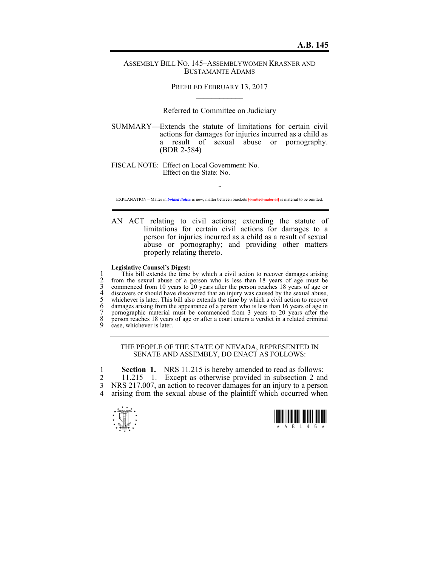## ASSEMBLY BILL NO. 145–ASSEMBLYWOMEN KRASNER AND BUSTAMANTE ADAMS

PREFILED FEBRUARY 13, 2017  $\mathcal{L}_\text{max}$ 

Referred to Committee on Judiciary

SUMMARY—Extends the statute of limitations for certain civil actions for damages for injuries incurred as a child as a result of sexual abuse or pornography. (BDR 2-584)

FISCAL NOTE: Effect on Local Government: No. Effect on the State: No.

~ EXPLANATION – Matter in *bolded italics* is new; matter between brackets **[**omitted material**]** is material to be omitted.

AN ACT relating to civil actions; extending the statute of limitations for certain civil actions for damages to a person for injuries incurred as a child as a result of sexual abuse or pornography; and providing other matters properly relating thereto.

## **Legislative Counsel's Digest:**

This bill extends the time by which a civil action to recover damages arising<br>
2 from the sexual abuse of a person who is less than 18 years of age must be<br>
3 commenced from 10 years to 20 years after the person reaches 1 2 from the sexual abuse of a person who is less than 18 years of age must be 3 commenced from 10 years to 20 years after the person reaches 18 years of age or discovers or should have discovered that an injury was caused by the sexual abuse, whichever is later. This bill also extends the time by which a civil action to recover 6 damages arising from the appearance of a person who is less than 16 years of age in 7 pornographic material must be commenced from 3 years to 20 years after the 8 person reaches 18 years of age or after a court enters a verdict in a related criminal case, whichever is later.

## THE PEOPLE OF THE STATE OF NEVADA, REPRESENTED IN SENATE AND ASSEMBLY, DO ENACT AS FOLLOWS:

1 **Section 1.** NRS 11.215 is hereby amended to read as follows: 2 11.215 1. Except as otherwise provided in subsection 2 and 3 NRS 217.007, an action to recover damages for an injury to a person 4 arising from the sexual abuse of the plaintiff which occurred when